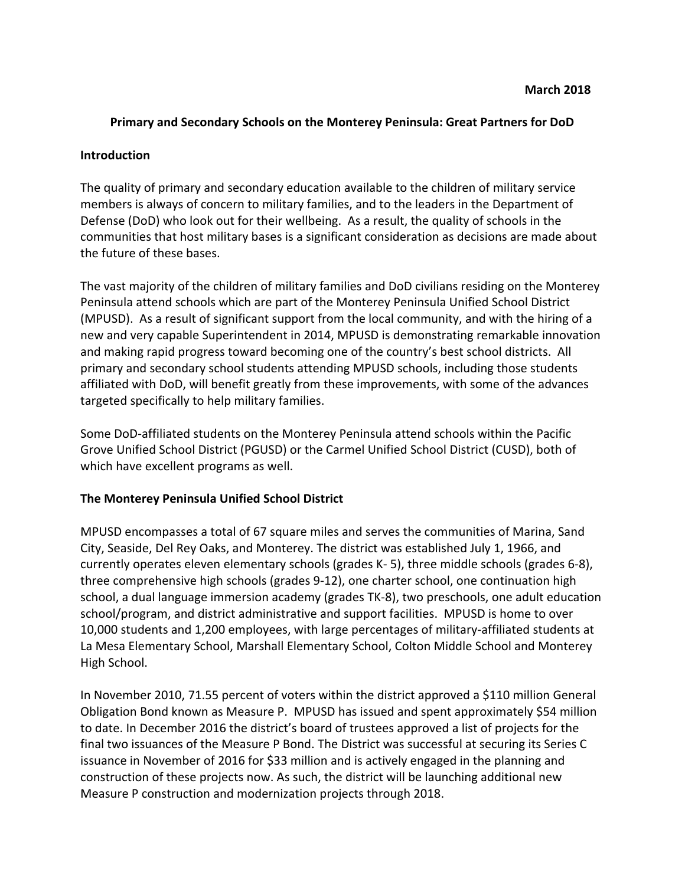## **Primary and Secondary Schools on the Monterey Peninsula: Great Partners for DoD**

#### **Introduction**

The quality of primary and secondary education available to the children of military service members is always of concern to military families, and to the leaders in the Department of Defense (DoD) who look out for their wellbeing. As a result, the quality of schools in the communities that host military bases is a significant consideration as decisions are made about the future of these bases.

The vast majority of the children of military families and DoD civilians residing on the Monterey Peninsula attend schools which are part of the Monterey Peninsula Unified School District (MPUSD). As a result of significant support from the local community, and with the hiring of a new and very capable Superintendent in 2014, MPUSD is demonstrating remarkable innovation and making rapid progress toward becoming one of the country's best school districts. All primary and secondary school students attending MPUSD schools, including those students affiliated with DoD, will benefit greatly from these improvements, with some of the advances targeted specifically to help military families.

Some DoD-affiliated students on the Monterey Peninsula attend schools within the Pacific Grove Unified School District (PGUSD) or the Carmel Unified School District (CUSD), both of which have excellent programs as well.

### **The Monterey Peninsula Unified School District**

MPUSD encompasses a total of 67 square miles and serves the communities of Marina, Sand City, Seaside, Del Rey Oaks, and Monterey. The district was established July 1, 1966, and currently operates eleven elementary schools (grades K-5), three middle schools (grades 6-8), three comprehensive high schools (grades 9-12), one charter school, one continuation high school, a dual language immersion academy (grades TK-8), two preschools, one adult education school/program, and district administrative and support facilities. MPUSD is home to over 10,000 students and 1,200 employees, with large percentages of military-affiliated students at La Mesa Elementary School, Marshall Elementary School, Colton Middle School and Monterey High School.

In November 2010, 71.55 percent of voters within the district approved a \$110 million General Obligation Bond known as Measure P. MPUSD has issued and spent approximately \$54 million to date. In December 2016 the district's board of trustees approved a list of projects for the final two issuances of the Measure P Bond. The District was successful at securing its Series C issuance in November of 2016 for \$33 million and is actively engaged in the planning and construction of these projects now. As such, the district will be launching additional new Measure P construction and modernization projects through 2018.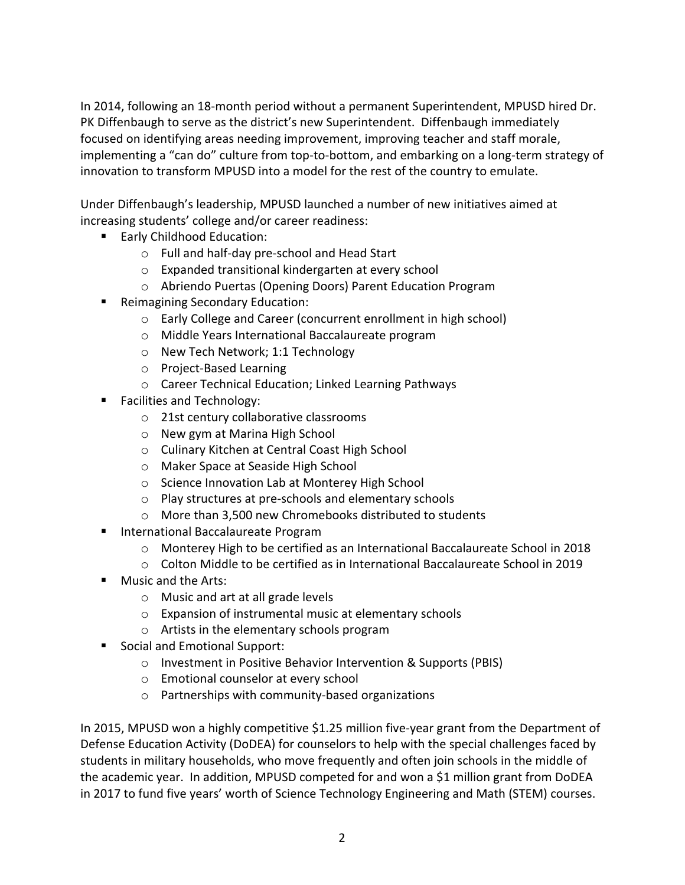In 2014, following an 18-month period without a permanent Superintendent, MPUSD hired Dr. PK Diffenbaugh to serve as the district's new Superintendent. Diffenbaugh immediately focused on identifying areas needing improvement, improving teacher and staff morale, implementing a "can do" culture from top-to-bottom, and embarking on a long-term strategy of innovation to transform MPUSD into a model for the rest of the country to emulate.

Under Diffenbaugh's leadership, MPUSD launched a number of new initiatives aimed at increasing students' college and/or career readiness:

- Early Childhood Education:
	- $\circ$  Full and half-day pre-school and Head Start
	- o Expanded transitional kindergarten at every school
	- $\circ$  Abriendo Puertas (Opening Doors) Parent Education Program
- Reimagining Secondary Education:
	- $\circ$  Early College and Career (concurrent enrollment in high school)
	- o Middle Years International Baccalaureate program
	- o New Tech Network; 1:1 Technology
	- o Project-Based Learning
	- o Career Technical Education; Linked Learning Pathways
- Facilities and Technology:
	- $\circ$  21st century collaborative classrooms
	- o New gym at Marina High School
	- o Culinary Kitchen at Central Coast High School
	- o Maker Space at Seaside High School
	- o Science Innovation Lab at Monterey High School
	- o Play structures at pre-schools and elementary schools
	- $\circ$  More than 3,500 new Chromebooks distributed to students
- International Baccalaureate Program
	- $\circ$  Monterey High to be certified as an International Baccalaureate School in 2018
	- $\circ$  Colton Middle to be certified as in International Baccalaureate School in 2019
- Music and the Arts:
	- $\circ$  Music and art at all grade levels
	- $\circ$  Expansion of instrumental music at elementary schools
	- $\circ$  Artists in the elementary schools program
- Social and Emotional Support:
	- o Investment in Positive Behavior Intervention & Supports (PBIS)
		- $\circ$  Emotional counselor at every school
		- $\circ$  Partnerships with community-based organizations

In 2015, MPUSD won a highly competitive \$1.25 million five-year grant from the Department of Defense Education Activity (DoDEA) for counselors to help with the special challenges faced by students in military households, who move frequently and often join schools in the middle of the academic year. In addition, MPUSD competed for and won a \$1 million grant from DoDEA in 2017 to fund five years' worth of Science Technology Engineering and Math (STEM) courses.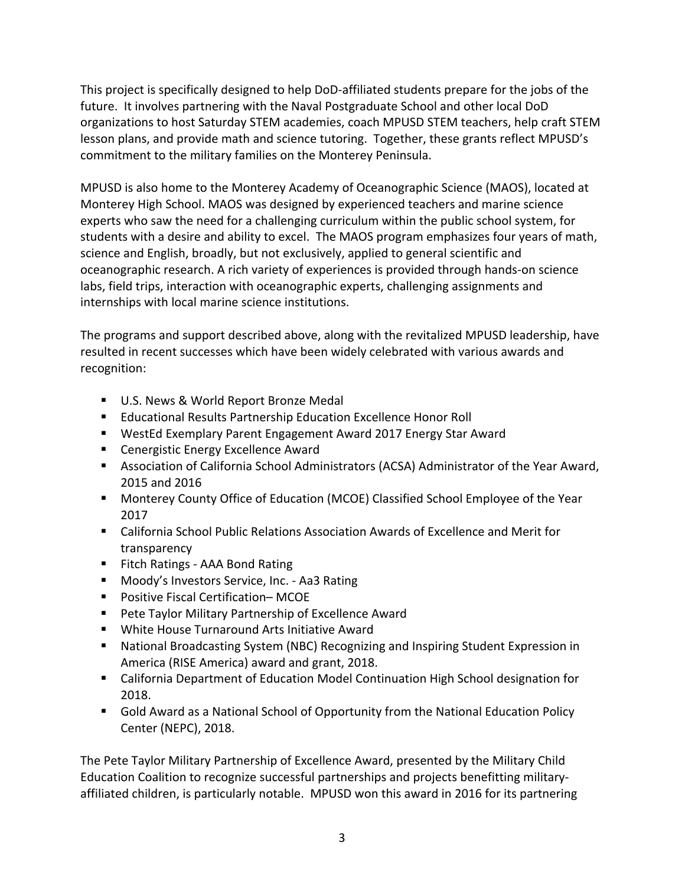This project is specifically designed to help DoD-affiliated students prepare for the jobs of the future. It involves partnering with the Naval Postgraduate School and other local DoD organizations to host Saturday STEM academies, coach MPUSD STEM teachers, help craft STEM lesson plans, and provide math and science tutoring. Together, these grants reflect MPUSD's commitment to the military families on the Monterey Peninsula.

MPUSD is also home to the Monterey Academy of Oceanographic Science (MAOS), located at Monterey High School. MAOS was designed by experienced teachers and marine science experts who saw the need for a challenging curriculum within the public school system, for students with a desire and ability to excel. The MAOS program emphasizes four years of math, science and English, broadly, but not exclusively, applied to general scientific and oceanographic research. A rich variety of experiences is provided through hands-on science labs, field trips, interaction with oceanographic experts, challenging assignments and internships with local marine science institutions.

The programs and support described above, along with the revitalized MPUSD leadership, have resulted in recent successes which have been widely celebrated with various awards and recognition:

- U.S. News & World Report Bronze Medal
- Educational Results Partnership Education Excellence Honor Roll
- WestEd Exemplary Parent Engagement Award 2017 Energy Star Award
- Cenergistic Energy Excellence Award
- Association of California School Administrators (ACSA) Administrator of the Year Award, 2015 and 2016
- Monterey County Office of Education (MCOE) Classified School Employee of the Year 2017
- California School Public Relations Association Awards of Excellence and Merit for transparency
- Fitch Ratings AAA Bond Rating
- Moody's Investors Service, Inc. Aa3 Rating
- Positive Fiscal Certification– MCOE
- Pete Taylor Military Partnership of Excellence Award
- White House Turnaround Arts Initiative Award
- National Broadcasting System (NBC) Recognizing and Inspiring Student Expression in America (RISE America) award and grant, 2018.
- California Department of Education Model Continuation High School designation for 2018.
- Gold Award as a National School of Opportunity from the National Education Policy Center (NEPC), 2018.

The Pete Taylor Military Partnership of Excellence Award, presented by the Military Child Education Coalition to recognize successful partnerships and projects benefitting militaryaffiliated children, is particularly notable. MPUSD won this award in 2016 for its partnering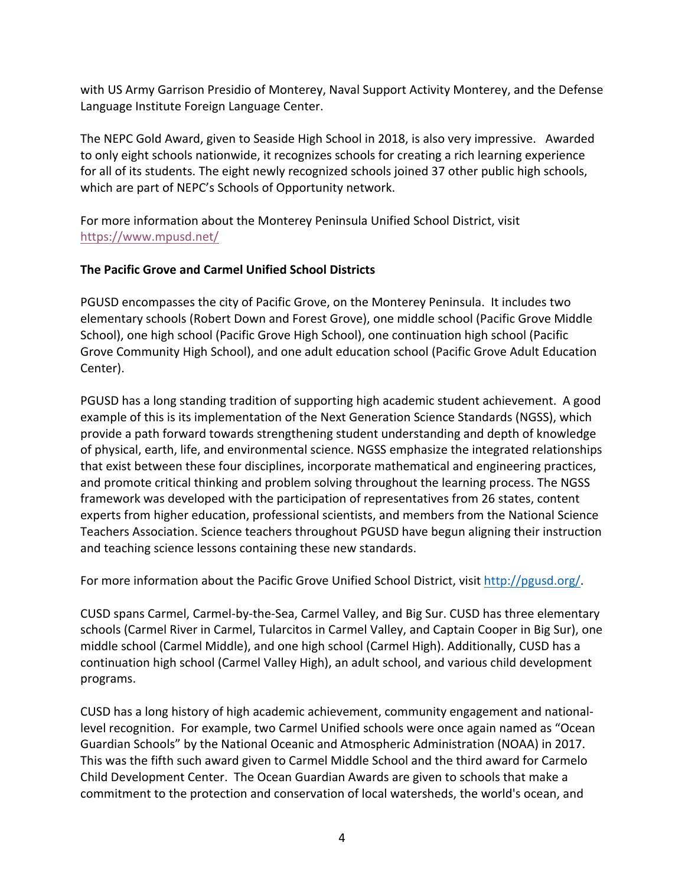with US Army Garrison Presidio of Monterey, Naval Support Activity Monterey, and the Defense Language Institute Foreign Language Center.

The NEPC Gold Award, given to Seaside High School in 2018, is also very impressive. Awarded to only eight schools nationwide, it recognizes schools for creating a rich learning experience for all of its students. The eight newly recognized schools joined 37 other public high schools, which are part of NEPC's Schools of Opportunity network.

For more information about the Monterey Peninsula Unified School District, visit https://www.mpusd.net/

# **The Pacific Grove and Carmel Unified School Districts**

PGUSD encompasses the city of Pacific Grove, on the Monterey Peninsula. It includes two elementary schools (Robert Down and Forest Grove), one middle school (Pacific Grove Middle School), one high school (Pacific Grove High School), one continuation high school (Pacific Grove Community High School), and one adult education school (Pacific Grove Adult Education Center).

PGUSD has a long standing tradition of supporting high academic student achievement. A good example of this is its implementation of the Next Generation Science Standards (NGSS), which provide a path forward towards strengthening student understanding and depth of knowledge of physical, earth, life, and environmental science. NGSS emphasize the integrated relationships that exist between these four disciplines, incorporate mathematical and engineering practices, and promote critical thinking and problem solving throughout the learning process. The NGSS framework was developed with the participation of representatives from 26 states, content experts from higher education, professional scientists, and members from the National Science Teachers Association. Science teachers throughout PGUSD have begun aligning their instruction and teaching science lessons containing these new standards.

For more information about the Pacific Grove Unified School District, visit http://pgusd.org/.

CUSD spans Carmel, Carmel-by-the-Sea, Carmel Valley, and Big Sur. CUSD has three elementary schools (Carmel River in Carmel, Tularcitos in Carmel Valley, and Captain Cooper in Big Sur), one middle school (Carmel Middle), and one high school (Carmel High). Additionally, CUSD has a continuation high school (Carmel Valley High), an adult school, and various child development programs.

CUSD has a long history of high academic achievement, community engagement and nationallevel recognition. For example, two Carmel Unified schools were once again named as "Ocean Guardian Schools" by the National Oceanic and Atmospheric Administration (NOAA) in 2017. This was the fifth such award given to Carmel Middle School and the third award for Carmelo Child Development Center. The Ocean Guardian Awards are given to schools that make a commitment to the protection and conservation of local watersheds, the world's ocean, and